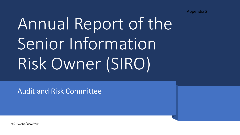Appendix 2

# Annual Report of the Senior Information Risk Owner (SIRO)

Audit and Risk Committee

Ref. AU/A&R/2022/Mar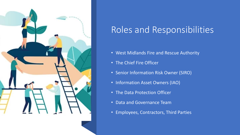

### Roles and Responsibilities

- West Midlands Fire and Rescue Authority
- The Chief Fire Officer
- Senior Information Risk Owner (SIRO)
- Information Asset Owners (IAO)
- The Data Protection Officer
- Data and Governance Team
- Employees, Contractors, Third Parties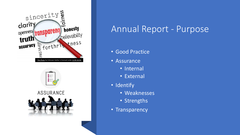





#### Annual Report - Purpose

- Good Practice
- Assurance
	- Internal
	- External
- Identify
	- Weaknesses
	- Strengths
- Transparency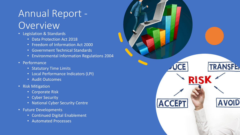## Annual Report - Overview

- Legislation & Standards
	- Data Protection Act 2018
	- Freedom of Information Act 2000
	- Government Technical Standards
	- Environmental Information Regulations 2004
- Performance
	- Statutory Time Limits
	- Local Performance Indicators (LPI)
	- Audit Outcomes
- Risk Mitigation
	- Corporate Risk
	- Cyber Security
	- National Cyber Security Centre
- Future Developments
	- Continued Digital Enablement
	- Automated Processes